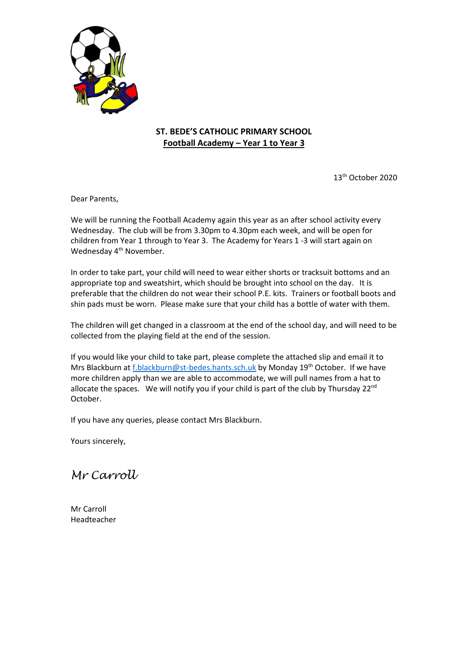

## **ST. BEDE'S CATHOLIC PRIMARY SCHOOL Football Academy – Year 1 to Year 3**

13th October 2020

Dear Parents,

We will be running the Football Academy again this year as an after school activity every Wednesday. The club will be from 3.30pm to 4.30pm each week, and will be open for children from Year 1 through to Year 3. The Academy for Years 1 -3 will start again on Wednesday 4<sup>th</sup> November.

In order to take part, your child will need to wear either shorts or tracksuit bottoms and an appropriate top and sweatshirt, which should be brought into school on the day. It is preferable that the children do not wear their school P.E. kits. Trainers or football boots and shin pads must be worn. Please make sure that your child has a bottle of water with them.

The children will get changed in a classroom at the end of the school day, and will need to be collected from the playing field at the end of the session.

If you would like your child to take part, please complete the attached slip and email it to Mrs Blackburn a[t f.blackburn@st-bedes.hants.sch.uk](mailto:f.blackburn@st-bedes.hants.sch.uk) by Monday 19<sup>th</sup> October. If we have more children apply than we are able to accommodate, we will pull names from a hat to allocate the spaces. We will notify you if your child is part of the club by Thursday  $22^{nd}$ October.

If you have any queries, please contact Mrs Blackburn.

Yours sincerely,

*Mr Carroll*

Mr Carroll Headteacher